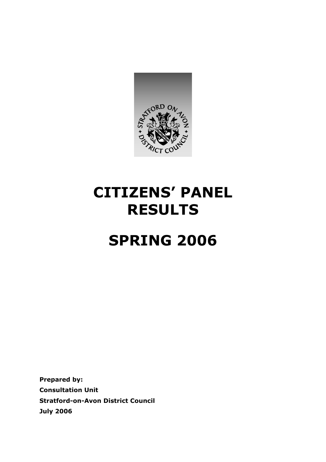

# **CITIZENS' PANEL RESULTS**

# **SPRING 2006**

**Prepared by: Consultation Unit Stratford-on-Avon District Council July 2006**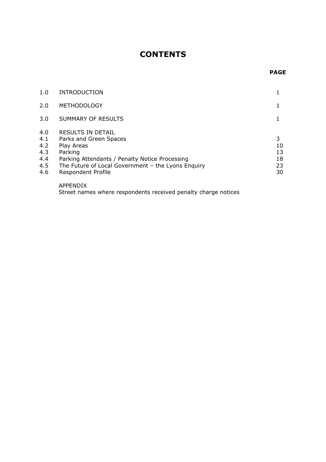# **CONTENTS**

#### *PAGE*

| 1.0                                           | <b>INTRODUCTION</b>                                                                                                                                                                                              |                                 |
|-----------------------------------------------|------------------------------------------------------------------------------------------------------------------------------------------------------------------------------------------------------------------|---------------------------------|
| 2.0                                           | <b>METHODOLOGY</b>                                                                                                                                                                                               |                                 |
| 3.0                                           | SUMMARY OF RESULTS                                                                                                                                                                                               |                                 |
| 4.0<br>4.1<br>4.2<br>4.3<br>4.4<br>4.5<br>4.6 | <b>RESULTS IN DETAIL</b><br>Parks and Green Spaces<br>Play Areas<br>Parking<br>Parking Attendants / Penalty Notice Processing<br>The Future of Local Government - the Lyons Enquiry<br><b>Respondent Profile</b> | 3<br>10<br>13<br>18<br>23<br>30 |

APPENDIX Street names where respondents received penalty charge notices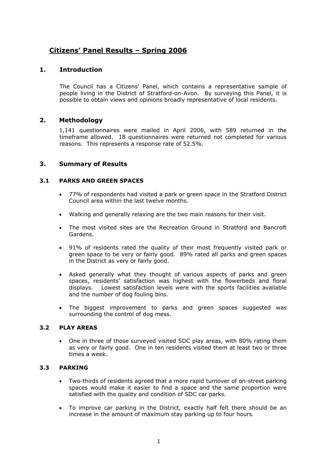# **Citizens' Panel Results – Spring 2006**

# **1. Introduction**

The Council has a Citizens' Panel, which contains a representative sample of people living in the District of Stratford-on-Avon. By surveying this Panel, it is possible to obtain views and opinions broadly representative of local residents.

# **2. Methodology**

1,141 questionnaires were mailed in April 2006, with 589 returned in the timeframe allowed. 18 questionnaires were returned not completed for various reasons. This represents a response rate of 52.5%.

# **3. Summary of Results**

## **3.1 PARKS AND GREEN SPACES**

- 77% of respondents had visited a park or green space in the Stratford District Council area within the last twelve months.
- Walking and generally relaxing are the two main reasons for their visit.
- The most visited sites are the Recreation Ground in Stratford and Bancroft Gardens.
- 91% of residents rated the quality of their most frequently visited park or green space to be very or fairly good. 89% rated all parks and green spaces in the District as very or fairly good.
- Asked generally what they thought of various aspects of parks and green spaces, residents' satisfaction was highest with the flowerbeds and floral displays. Lowest satisfaction levels were with the sports facilities available and the number of dog fouling bins.
- The biggest improvement to parks and green spaces suggested was surrounding the control of dog mess.

# **3.2 PLAY AREAS**

• One in three of those surveyed visited SDC play areas, with 80% rating them as very or fairly good. One in ten residents visited them at least two or three times a week.

#### **3.3 PARKING**

- Two-thirds of residents agreed that a more rapid turnover of on-street parking spaces would make it easier to find a space and the same proportion were satisfied with the quality and condition of SDC car parks.
- To improve car parking in the District, exactly half felt there should be an increase in the amount of maximum stay parking up to four hours.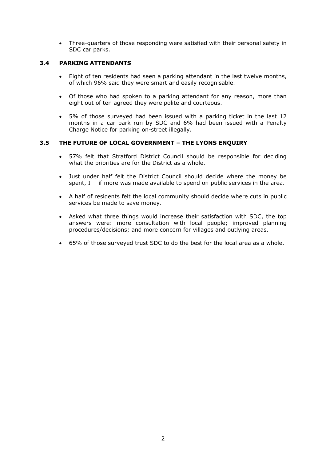• Three-quarters of those responding were satisfied with their personal safety in SDC car parks.

# **3.4 PARKING ATTENDANTS**

- Eight of ten residents had seen a parking attendant in the last twelve months, of which 96% said they were smart and easily recognisable.
- Of those who had spoken to a parking attendant for any reason, more than eight out of ten agreed they were polite and courteous.
- 5% of those surveyed had been issued with a parking ticket in the last 12 months in a car park run by SDC and 6% had been issued with a Penalty Charge Notice for parking on-street illegally.

## **3.5 THE FUTURE OF LOCAL GOVERNMENT – THE LYONS ENQUIRY**

- 57% felt that Stratford District Council should be responsible for deciding what the priorities are for the District as a whole.
- Just under half felt the District Council should decide where the money be spent, I if more was made available to spend on public services in the area.
- A half of residents felt the local community should decide where cuts in public services be made to save money.
- Asked what three things would increase their satisfaction with SDC, the top answers were: more consultation with local people; improved planning procedures/decisions; and more concern for villages and outlying areas.
- 65% of those surveyed trust SDC to do the best for the local area as a whole.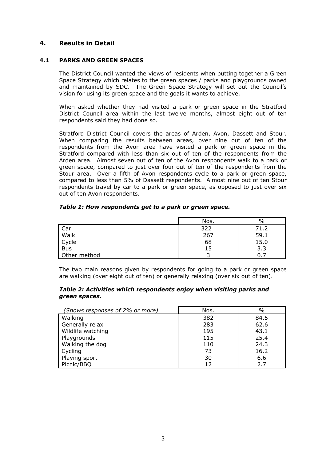# **4. Results in Detail**

#### **4.1 PARKS AND GREEN SPACES**

The District Council wanted the views of residents when putting together a Green Space Strategy which relates to the green spaces / parks and playgrounds owned and maintained by SDC. The Green Space Strategy will set out the Council's vision for using its green space and the goals it wants to achieve.

When asked whether they had visited a park or green space in the Stratford District Council area within the last twelve months, almost eight out of ten respondents said they had done so.

Stratford District Council covers the areas of Arden, Avon, Dassett and Stour. When comparing the results between areas, over nine out of ten of the respondents from the Avon area have visited a park or green space in the Stratford compared with less than six out of ten of the respondents from the Arden area. Almost seven out of ten of the Avon respondents walk to a park or green space, compared to just over four out of ten of the respondents from the Stour area. Over a fifth of Avon respondents cycle to a park or green space, compared to less than 5% of Dassett respondents. Almost nine out of ten Stour respondents travel by car to a park or green space, as opposed to just over six out of ten Avon respondents.

#### *Table 1: How respondents get to a park or green space.*

|              | Nos. | $\%$ |
|--------------|------|------|
|              | 322  | 71.2 |
| Car<br>Walk  | 267  | 59.1 |
| Cycle        | 68   | 15.0 |
| <b>Bus</b>   | 15   | 3.3  |
| Other method |      | 0.   |

The two main reasons given by respondents for going to a park or green space are walking (over eight out of ten) or generally relaxing (over six out of ten).

#### *Table 2: Activities which respondents enjoy when visiting parks and green spaces.*

| (Shows responses of 2% or more) | Nos. | $\%$ |
|---------------------------------|------|------|
| Walking                         | 382  | 84.5 |
| Generally relax                 | 283  | 62.6 |
| Wildlife watching               | 195  | 43.1 |
| Playgrounds                     | 115  | 25.4 |
| Walking the dog                 | 110  | 24.3 |
| Cycling                         | 73   | 16.2 |
| Playing sport                   | 30   | 6.6  |
| Picnic/BBQ                      | 12   | 2.7  |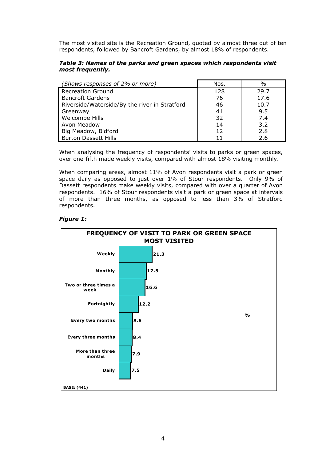The most visited site is the Recreation Ground, quoted by almost three out of ten respondents, followed by Bancroft Gardens, by almost 18% of respondents.

#### *Table 3: Names of the parks and green spaces which respondents visit most frequently.*

| (Shows responses of 2% or more)               | Nos. | $\%$ |
|-----------------------------------------------|------|------|
| <b>Recreation Ground</b>                      | 128  | 29.7 |
| <b>Bancroft Gardens</b>                       | 76   | 17.6 |
| Riverside/Waterside/By the river in Stratford | 46   | 10.7 |
| Greenway                                      | 41   | 9.5  |
| Welcombe Hills                                | 32   | 7.4  |
| <b>Avon Meadow</b>                            | 14   | 3.2  |
| Big Meadow, Bidford                           | 12   | 2.8  |
| <b>Burton Dassett Hills</b>                   |      | 2.6  |

When analysing the frequency of respondents' visits to parks or green spaces, over one-fifth made weekly visits, compared with almost 18% visiting monthly.

When comparing areas, almost 11% of Avon respondents visit a park or green space daily as opposed to just over 1% of Stour respondents. Only 9% of Dassett respondents make weekly visits, compared with over a quarter of Avon respondents. 16% of Stour respondents visit a park or green space at intervals of more than three months, as opposed to less than 3% of Stratford respondents.

#### *Figure 1:*

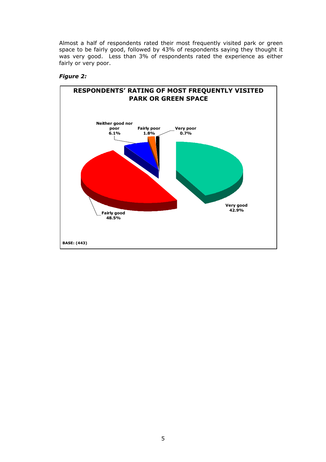Almost a half of respondents rated their most frequently visited park or green space to be fairly good, followed by 43% of respondents saying they thought it was very good. Less than 3% of respondents rated the experience as either fairly or very poor.

# *Figure 2:*

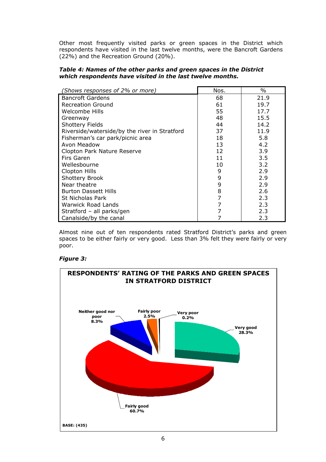Other most frequently visited parks or green spaces in the District which respondents have visited in the last twelve months, were the Bancroft Gardens (22%) and the Recreation Ground (20%).

#### *Table 4: Names of the other parks and green spaces in the District which respondents have visited in the last twelve months.*

| (Shows responses of 2% or more)               | Nos. | $\frac{0}{0}$ |
|-----------------------------------------------|------|---------------|
| <b>Bancroft Gardens</b>                       | 68   | 21.9          |
| <b>Recreation Ground</b>                      | 61   | 19.7          |
| Welcombe Hills                                | 55   | 17.7          |
| Greenway                                      | 48   | 15.5          |
| <b>Shottery Fields</b>                        | 44   | 14.2          |
| Riverside/waterside/by the river in Stratford | 37   | 11.9          |
| Fisherman's car park/picnic area              | 18   | 5.8           |
| Avon Meadow                                   | 13   | 4.2           |
| Clopton Park Nature Reserve                   | 12   | 3.9           |
| Firs Garen                                    | 11   | 3.5           |
| Wellesbourne                                  | 10   | 3.2           |
| Clopton Hills                                 | 9    | 2.9           |
| Shottery Brook                                | 9    | 2.9           |
| Near theatre                                  | 9    | 2.9           |
| <b>Burton Dassett Hills</b>                   | 8    | 2.6           |
| St Nicholas Park                              | 7    | 2.3           |
| Warwick Road Lands                            | 7    | 2.3           |
| Stratford - all parks/gen                     | 7    | 2.3           |
| Canalside/by the canal                        |      | 2.3           |

Almost nine out of ten respondents rated Stratford District's parks and green spaces to be either fairly or very good. Less than 3% felt they were fairly or very poor.

# *Figure 3:*

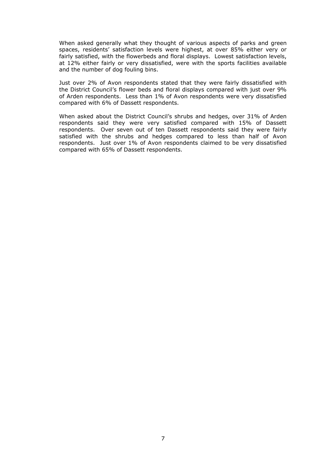When asked generally what they thought of various aspects of parks and green spaces, residents' satisfaction levels were highest, at over 85% either very or fairly satisfied, with the flowerbeds and floral displays. Lowest satisfaction levels, at 12% either fairly or very dissatisfied, were with the sports facilities available and the number of dog fouling bins.

Just over 2% of Avon respondents stated that they were fairly dissatisfied with the District Council's flower beds and floral displays compared with just over 9% of Arden respondents. Less than 1% of Avon respondents were very dissatisfied compared with 6% of Dassett respondents.

When asked about the District Council's shrubs and hedges, over 31% of Arden respondents said they were very satisfied compared with 15% of Dassett respondents. Over seven out of ten Dassett respondents said they were fairly satisfied with the shrubs and hedges compared to less than half of Avon respondents. Just over 1% of Avon respondents claimed to be very dissatisfied compared with 65% of Dassett respondents.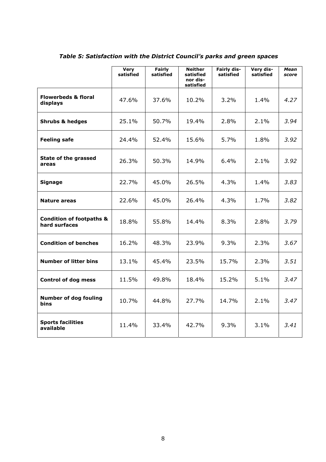|                                                      | <b>Very</b><br>satisfied | <b>Fairly</b><br>satisfied | <b>Neither</b><br>satisfied<br>nor dis-<br>satisfied | <b>Fairly dis-</b><br>satisfied | Very dis-<br>satisfied | Mean<br>score |
|------------------------------------------------------|--------------------------|----------------------------|------------------------------------------------------|---------------------------------|------------------------|---------------|
| <b>Flowerbeds &amp; floral</b><br>displays           | 47.6%                    | 37.6%                      | 10.2%                                                | 3.2%                            | 1.4%                   | 4.27          |
| <b>Shrubs &amp; hedges</b>                           | 25.1%                    | 50.7%                      | 19.4%                                                | 2.8%                            | 2.1%                   | 3.94          |
| <b>Feeling safe</b>                                  | 24.4%                    | 52.4%                      | 15.6%                                                | 5.7%                            | 1.8%                   | 3.92          |
| State of the grassed<br>areas                        | 26.3%                    | 50.3%                      | 14.9%                                                | 6.4%                            | 2.1%                   | 3.92          |
| <b>Signage</b>                                       | 22.7%                    | 45.0%                      | 26.5%                                                | 4.3%                            | 1.4%                   | 3.83          |
| Nature areas                                         | 22.6%                    | 45.0%                      | 26.4%                                                | 4.3%                            | 1.7%                   | 3.82          |
| <b>Condition of footpaths &amp;</b><br>hard surfaces | 18.8%                    | 55.8%                      | 14.4%                                                | 8.3%                            | 2.8%                   | 3.79          |
| <b>Condition of benches</b>                          | 16.2%                    | 48.3%                      | 23.9%                                                | 9.3%                            | 2.3%                   | 3.67          |
| <b>Number of litter bins</b>                         | 13.1%                    | 45.4%                      | 23.5%                                                | 15.7%                           | 2.3%                   | 3.51          |
| <b>Control of dog mess</b>                           | 11.5%                    | 49.8%                      | 18.4%                                                | 15.2%                           | 5.1%                   | 3.47          |
| <b>Number of dog fouling</b><br><b>bins</b>          | 10.7%                    | 44.8%                      | 27.7%                                                | 14.7%                           | 2.1%                   | 3.47          |
| <b>Sports facilities</b><br>available                | 11.4%                    | 33.4%                      | 42.7%                                                | 9.3%                            | 3.1%                   | 3.41          |

# *Table 5: Satisfaction with the District Council's parks and green spaces*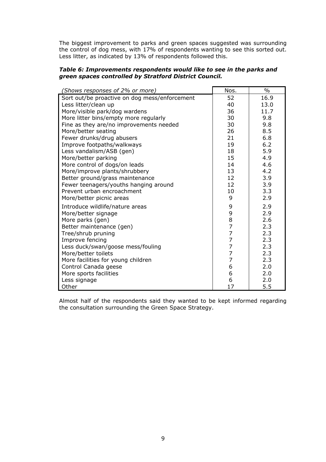The biggest improvement to parks and green spaces suggested was surrounding the control of dog mess, with 17% of respondents wanting to see this sorted out. Less litter, as indicated by 13% of respondents followed this.

#### *Table 6: Improvements respondents would like to see in the parks and green spaces controlled by Stratford District Council.*

| (Shows responses of 2% or more)               | Nos.                                  | $\%$ |
|-----------------------------------------------|---------------------------------------|------|
| Sort out/be proactive on dog mess/enforcement | 52                                    | 16.9 |
| Less litter/clean up                          | 40                                    | 13.0 |
| More/visible park/dog wardens                 | 36                                    | 11.7 |
| More litter bins/empty more regularly         | 30                                    | 9.8  |
| Fine as they are/no improvements needed       | 30                                    | 9.8  |
| More/better seating                           | 26                                    | 8.5  |
| Fewer drunks/drug abusers                     | 21                                    | 6.8  |
| Improve footpaths/walkways                    | 19                                    | 6.2  |
| Less vandalism/ASB (gen)                      | 18                                    | 5.9  |
| More/better parking                           | 15                                    | 4.9  |
| More control of dogs/on leads                 | 14                                    | 4.6  |
| More/improve plants/shrubbery                 | 13                                    | 4.2  |
| Better ground/grass maintenance               | 12                                    | 3.9  |
| Fewer teenagers/youths hanging around         | 12                                    | 3.9  |
| Prevent urban encroachment                    | 10                                    | 3.3  |
| More/better picnic areas                      | 9                                     | 2.9  |
| Introduce wildlife/nature areas               | 9                                     | 2.9  |
| More/better signage                           | 9                                     | 2.9  |
| More parks (gen)                              | $\begin{array}{c} 8 \\ 7 \end{array}$ | 2.6  |
| Better maintenance (gen)                      |                                       | 2.3  |
| Tree/shrub pruning                            | 7                                     | 2.3  |
| Improve fencing                               | $\overline{7}$                        | 2.3  |
| Less duck/swan/goose mess/fouling             | $\overline{7}$                        | 2.3  |
| More/better toilets                           | $\overline{7}$                        | 2.3  |
| More facilities for young children            | 7                                     | 2.3  |
| Control Canada geese                          | 6                                     | 2.0  |
| More sports facilities                        | 6                                     | 2.0  |
| Less signage                                  | 6                                     | 2.0  |
| Other                                         | 17                                    | 5.5  |

Almost half of the respondents said they wanted to be kept informed regarding the consultation surrounding the Green Space Strategy.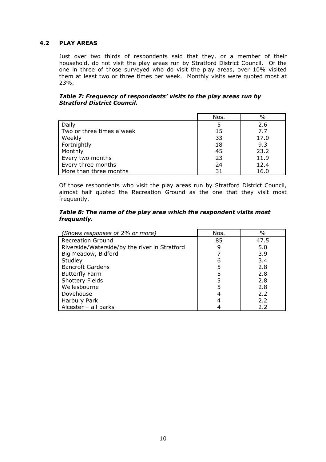# **4.2 PLAY AREAS**

Just over two thirds of respondents said that they, or a member of their household, do not visit the play areas run by Stratford District Council. Of the one in three of those surveyed who do visit the play areas, over 10% visited them at least two or three times per week. Monthly visits were quoted most at 23%.

#### *Table 7: Frequency of respondents' visits to the play areas run by Stratford District Council.*

|                           | Nos. | $\%$ |
|---------------------------|------|------|
| Daily                     |      | 2.6  |
| Two or three times a week | 15   | 7.7  |
| Weekly                    | 33   | 17.0 |
| Fortnightly               | 18   | 9.3  |
| Monthly                   | 45   | 23.2 |
| Every two months          | 23   | 11.9 |
| Every three months        | 24   | 12.4 |
| More than three months    | 31   | 16.0 |

Of those respondents who visit the play areas run by Stratford District Council, almost half quoted the Recreation Ground as the one that they visit most frequently.

#### *Table 8: The name of the play area which the respondent visits most frequently.*

| (Shows responses of 2% or more)               | Nos. | $\%$ |
|-----------------------------------------------|------|------|
| <b>Recreation Ground</b>                      | 85   | 47.5 |
| Riverside/Waterside/by the river in Stratford |      | 5.0  |
| Big Meadow, Bidford                           |      | 3.9  |
| Studley                                       | 6    | 3.4  |
| <b>Bancroft Gardens</b>                       | 5    | 2.8  |
| <b>Butterfly Farm</b>                         |      | 2.8  |
| <b>Shottery Fields</b>                        | 5    | 2.8  |
| Wellesbourne                                  | 5    | 2.8  |
| Dovehouse                                     |      | 2.2  |
| Harbury Park                                  |      | 2.2  |
| Alcester $-$ all parks                        |      | 2.2  |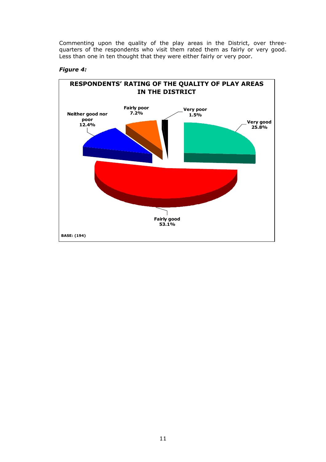Commenting upon the quality of the play areas in the District, over threequarters of the respondents who visit them rated them as fairly or very good. Less than one in ten thought that they were either fairly or very poor.



#### *Figure 4:*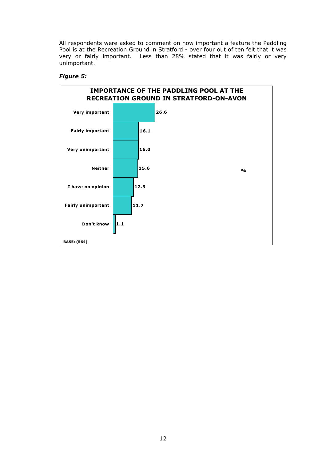All respondents were asked to comment on how important a feature the Paddling Pool is at the Recreation Ground in Stratford - over four out of ten felt that it was very or fairly important. Less than 28% stated that it was fairly or very unimportant.

# *Figure 5:*

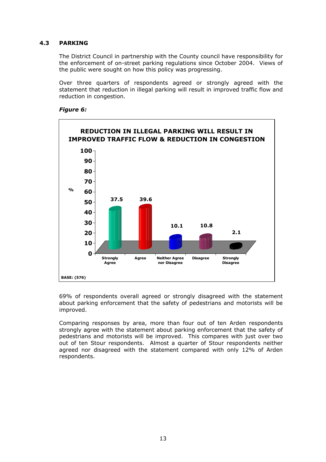# **4.3 PARKING**

The District Council in partnership with the County council have responsibility for the enforcement of on-street parking regulations since October 2004. Views of the public were sought on how this policy was progressing.

Over three quarters of respondents agreed or strongly agreed with the statement that reduction in illegal parking will result in improved traffic flow and reduction in congestion.

#### *Figure 6:*



69% of respondents overall agreed or strongly disagreed with the statement about parking enforcement that the safety of pedestrians and motorists will be improved.

Comparing responses by area, more than four out of ten Arden respondents strongly agree with the statement about parking enforcement that the safety of pedestrians and motorists will be improved. This compares with just over two out of ten Stour respondents. Almost a quarter of Stour respondents neither agreed nor disagreed with the statement compared with only 12% of Arden respondents.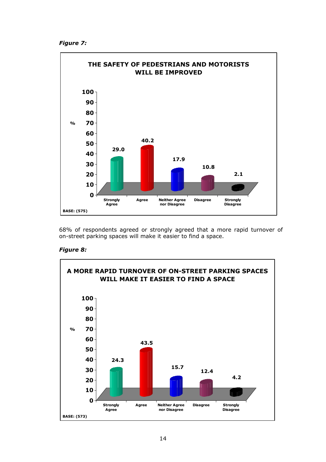```
Figure 7:
```


68% of respondents agreed or strongly agreed that a more rapid turnover of on-street parking spaces will make it easier to find a space.

#### *Figure 8:*

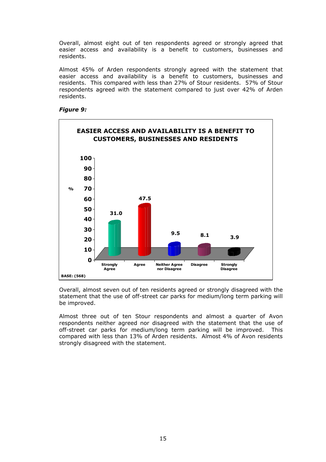Overall, almost eight out of ten respondents agreed or strongly agreed that easier access and availability is a benefit to customers, businesses and residents.

Almost 45% of Arden respondents strongly agreed with the statement that easier access and availability is a benefit to customers, businesses and residents. This compared with less than 27% of Stour residents. 57% of Stour respondents agreed with the statement compared to just over 42% of Arden residents.

#### *Figure 9:*



Overall, almost seven out of ten residents agreed or strongly disagreed with the statement that the use of off-street car parks for medium/long term parking will be improved.

Almost three out of ten Stour respondents and almost a quarter of Avon respondents neither agreed nor disagreed with the statement that the use of off-street car parks for medium/long term parking will be improved. This compared with less than 13% of Arden residents. Almost 4% of Avon residents strongly disagreed with the statement.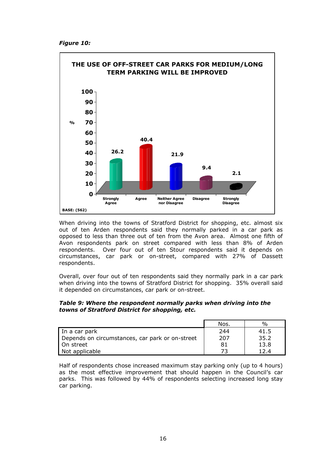*Figure 10:*



When driving into the towns of Stratford District for shopping, etc. almost six out of ten Arden respondents said they normally parked in a car park as opposed to less than three out of ten from the Avon area. Almost one fifth of Avon respondents park on street compared with less than 8% of Arden respondents. Over four out of ten Stour respondents said it depends on circumstances, car park or on-street, compared with 27% of Dassett respondents.

Overall, over four out of ten respondents said they normally park in a car park when driving into the towns of Stratford District for shopping. 35% overall said it depended on circumstances, car park or on-street.

## *Table 9: Where the respondent normally parks when driving into the towns of Stratford District for shopping, etc.*

|                                                 | Nos. | $\%$ |
|-------------------------------------------------|------|------|
| In a car park                                   | 244  | 41.5 |
| Depends on circumstances, car park or on-street | 207  | 35.2 |
| Ⅰ On street                                     | 81   | 13.8 |
| Not applicable                                  | フつ   | 12.4 |

Half of respondents chose increased maximum stay parking only (up to 4 hours) as the most effective improvement that should happen in the Council's car parks. This was followed by 44% of respondents selecting increased long stay car parking.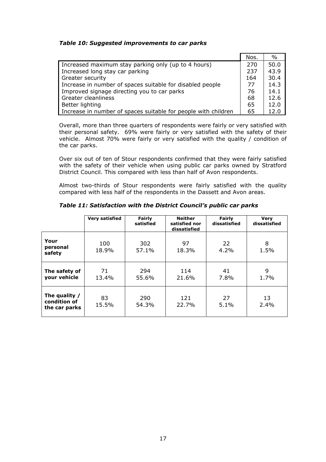# *Table 10: Suggested improvements to car parks*

|                                                                | Nos. | $\%$ |
|----------------------------------------------------------------|------|------|
| Increased maximum stay parking only (up to 4 hours)            | 270  | 50.0 |
| Increased long stay car parking                                | 237  | 43.9 |
| Greater security                                               | 164  | 30.4 |
| Increase in number of spaces suitable for disabled people      | 77   | 14.3 |
| Improved signage directing you to car parks                    | 76   | 14.1 |
| Greater cleanliness                                            | 68   | 12.6 |
| Better lighting                                                | 65   | 12.0 |
| Increase in number of spaces suitable for people with children | 65   | 12.0 |

Overall, more than three quarters of respondents were fairly or very satisfied with their personal safety. 69% were fairly or very satisfied with the safety of their vehicle. Almost 70% were fairly or very satisfied with the quality / condition of the car parks.

Over six out of ten of Stour respondents confirmed that they were fairly satisfied with the safety of their vehicle when using public car parks owned by Stratford District Council. This compared with less than half of Avon respondents.

Almost two-thirds of Stour respondents were fairly satisfied with the quality compared with less half of the respondents in the Dassett and Avon areas.

|                                                | <b>Very satisfied</b> | <b>Fairly</b><br>satisfied | <b>Neither</b><br>satisfied nor<br>dissatisfied | Fairly<br>dissatisfied | <b>Very</b><br>dissatisfied |
|------------------------------------------------|-----------------------|----------------------------|-------------------------------------------------|------------------------|-----------------------------|
| Your<br>personal<br>safety                     | 100<br>18.9%          | 302<br>57.1%               | 97<br>18.3%                                     | 22<br>4.2%             | 8<br>1.5%                   |
| The safety of<br>your vehicle                  | 71<br>13.4%           | 294<br>55.6%               | 114<br>21.6%                                    | 41<br>7.8%             | 9<br>1.7%                   |
| The quality /<br>condition of<br>the car parks | 83<br>15.5%           | 290<br>54.3%               | 121<br>22.7%                                    | 27<br>5.1%             | 13<br>2.4%                  |

*Table 11: Satisfaction with the District Council's public car parks*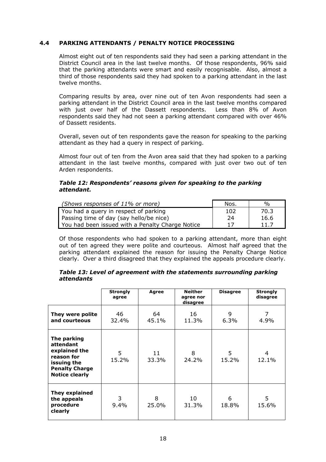# **4.4 PARKING ATTENDANTS / PENALTY NOTICE PROCESSING**

Almost eight out of ten respondents said they had seen a parking attendant in the District Council area in the last twelve months. Of those respondents, 96% said that the parking attendants were smart and easily recognisable. Also, almost a third of those respondents said they had spoken to a parking attendant in the last twelve months.

Comparing results by area, over nine out of ten Avon respondents had seen a parking attendant in the District Council area in the last twelve months compared with just over half of the Dassett respondents. Less than 8% of Avon respondents said they had not seen a parking attendant compared with over 46% of Dassett residents.

Overall, seven out of ten respondents gave the reason for speaking to the parking attendant as they had a query in respect of parking.

Almost four out of ten from the Avon area said that they had spoken to a parking attendant in the last twelve months, compared with just over two out of ten Arden respondents.

#### *Table 12: Respondents' reasons given for speaking to the parking attendant.*

| (Shows responses of 11% or more)                 | Nos. | $\frac{0}{0}$ |
|--------------------------------------------------|------|---------------|
| You had a query in respect of parking            | 102  | 70.3          |
| Passing time of day (say hello/be nice)          | 24   | 16.6          |
| You had been issued with a Penalty Charge Notice | 17   | 11.7          |

Of those respondents who had spoken to a parking attendant, more than eight out of ten agreed they were polite and courteous. Almost half agreed that the parking attendant explained the reason for issuing the Penalty Charge Notice clearly. Over a third disagreed that they explained the appeals procedure clearly.

#### *Table 13: Level of agreement with the statements surrounding parking attendants*

|                                                                                                                          | <b>Strongly</b><br>agree | Agree       | <b>Neither</b><br>agree nor<br>disagree | <b>Disagree</b> | <b>Strongly</b><br>disagree |
|--------------------------------------------------------------------------------------------------------------------------|--------------------------|-------------|-----------------------------------------|-----------------|-----------------------------|
| They were polite<br>and courteous                                                                                        | 46<br>32.4%              | 64<br>45.1% | 16<br>11.3%                             | 9<br>$6.3\%$    | 7<br>4.9%                   |
| The parking<br>attendant<br>explained the<br>reason for<br>issuing the<br><b>Penalty Charge</b><br><b>Notice clearly</b> | 5<br>15.2%               | 11<br>33.3% | 8<br>24.2%                              | 5.<br>15.2%     | 4<br>12.1%                  |
| They explained<br>the appeals<br>procedure<br>clearly                                                                    | 3<br>9.4%                | 8<br>25.0%  | 10<br>31.3%                             | 6<br>18.8%      | 5<br>15.6%                  |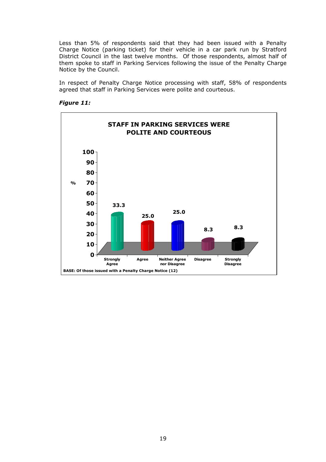Less than 5% of respondents said that they had been issued with a Penalty Charge Notice (parking ticket) for their vehicle in a car park run by Stratford District Council in the last twelve months. Of those respondents, almost half of them spoke to staff in Parking Services following the issue of the Penalty Charge Notice by the Council.

In respect of Penalty Charge Notice processing with staff, 58% of respondents agreed that staff in Parking Services were polite and courteous.

#### *Figure 11:*

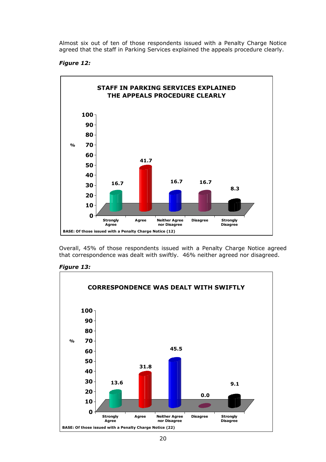Almost six out of ten of those respondents issued with a Penalty Charge Notice agreed that the staff in Parking Services explained the appeals procedure clearly.

# *Figure 12:*



Overall, 45% of those respondents issued with a Penalty Charge Notice agreed that correspondence was dealt with swiftly. 46% neither agreed nor disagreed.



# *Figure 13:*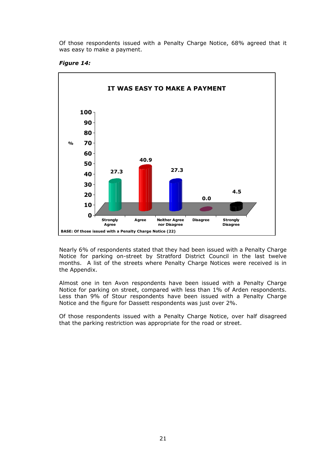Of those respondents issued with a Penalty Charge Notice, 68% agreed that it was easy to make a payment.

#### *Figure 14:*



Nearly 6% of respondents stated that they had been issued with a Penalty Charge Notice for parking on-street by Stratford District Council in the last twelve months. A list of the streets where Penalty Charge Notices were received is in the Appendix.

Almost one in ten Avon respondents have been issued with a Penalty Charge Notice for parking on street, compared with less than 1% of Arden respondents. Less than 9% of Stour respondents have been issued with a Penalty Charge Notice and the figure for Dassett respondents was just over 2%.

Of those respondents issued with a Penalty Charge Notice, over half disagreed that the parking restriction was appropriate for the road or street.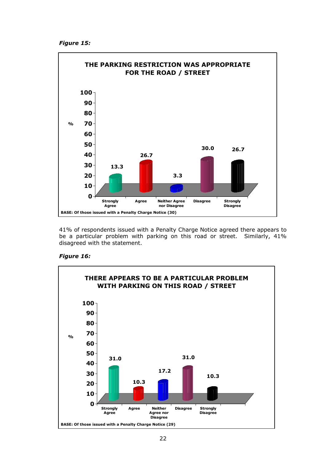*Figure 15:*



41% of respondents issued with a Penalty Charge Notice agreed there appears to be a particular problem with parking on this road or street. Similarly, 41% disagreed with the statement.

# *Figure 16:*

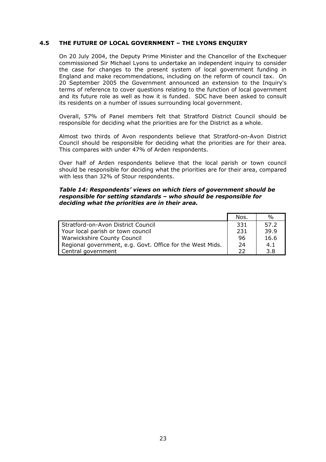## **4.5 THE FUTURE OF LOCAL GOVERNMENT – THE LYONS ENQUIRY**

On 20 July 2004, the Deputy Prime Minister and the Chancellor of the Exchequer commissioned Sir Michael Lyons to undertake an independent inquiry to consider the case for changes to the present system of local government funding in England and make recommendations, including on the reform of council tax. On 20 September 2005 the Government announced an extension to the Inquiry's terms of reference to cover questions relating to the function of local government and its future role as well as how it is funded. SDC have been asked to consult its residents on a number of issues surrounding local government.

Overall, 57% of Panel members felt that Stratford District Council should be responsible for deciding what the priorities are for the District as a whole.

Almost two thirds of Avon respondents believe that Stratford-on-Avon District Council should be responsible for deciding what the priorities are for their area. This compares with under 47% of Arden respondents.

Over half of Arden respondents believe that the local parish or town council should be responsible for deciding what the priorities are for their area, compared with less than 32% of Stour respondents.

#### *Table 14: Respondents' views on which tiers of government should be responsible for setting standards – who should be responsible for deciding what the priorities are in their area.*

|                                                           | Nos. | $\%$ |
|-----------------------------------------------------------|------|------|
| Stratford-on-Avon District Council                        | 331  | 57.2 |
| Your local parish or town council                         | 231  | 39.9 |
| <b>Warwickshire County Council</b>                        | 96   | 16.6 |
| Regional government, e.g. Govt. Office for the West Mids. | 24   | 4.1  |
| Central government                                        | つつ   | 3.8  |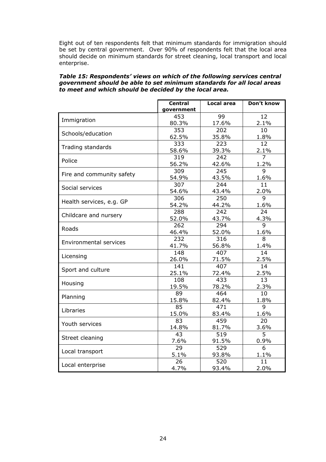Eight out of ten respondents felt that minimum standards for immigration should be set by central government. Over 90% of respondents felt that the local area should decide on minimum standards for street cleaning, local transport and local enterprise.

#### *Table 15: Respondents' views on which of the following services central government should be able to set minimum standards for all local areas to meet and which should be decided by the local area.*

|                               | <b>Central</b><br>government | <b>Local area</b> | Don't know      |
|-------------------------------|------------------------------|-------------------|-----------------|
|                               | 453                          | 99                | 12              |
| Immigration                   | 80.3%                        | 17.6%             | 2.1%            |
|                               | 353                          | 202               | 10              |
| Schools/education             | 62.5%                        | 35.8%             | 1.8%            |
|                               | 333                          | 223               | $\overline{12}$ |
| Trading standards             | 58.6%                        | 39.3%             | 2.1%            |
| Police                        | 319                          | 242               | $\overline{7}$  |
|                               | 56.2%                        | 42.6%             | 1.2%            |
| Fire and community safety     | 309                          | 245               | 9               |
|                               | 54.9%                        | 43.5%             | 1.6%            |
| Social services               | 307                          | 244               | 11              |
|                               | 54.6%                        | 43.4%             | 2.0%            |
| Health services, e.g. GP      | 306                          | $\overline{250}$  | 9               |
|                               | 54.2%                        | 44.2%             | 1.6%            |
| Childcare and nursery         | 288                          | 242               | 24              |
|                               | 52.0%                        | 43.7%             | 4.3%            |
| Roads                         | 262                          | 294               | 9               |
|                               | 46.4%                        | 52.0%             | 1.6%            |
| <b>Environmental services</b> | 232                          | 316               | $\overline{8}$  |
|                               | 41.7%                        | 56.8%             | 1.4%            |
| Licensing                     | 148                          | 407               | 14              |
|                               | 26.0%                        | 71.5%             | 2.5%            |
| Sport and culture             | 141                          | 407               | 14              |
|                               | 25.1%                        | 72.4%             | 2.5%            |
| Housing                       | 108                          | 433               | $\overline{13}$ |
|                               | 19.5%                        | 78.2%             | 2.3%            |
| Planning                      | 89                           | 464               | 10              |
|                               | 15.8%                        | 82.4%             | 1.8%            |
| Libraries                     | 85                           | 471               | 9               |
|                               | 15.0%                        | 83.4%             | 1.6%            |
| Youth services                | 83                           | 459               | 20              |
|                               | 14.8%                        | 81.7%             | 3.6%            |
| Street cleaning               | 43                           | 519               | $\overline{5}$  |
|                               | 7.6%                         | 91.5%             | 0.9%            |
| Local transport               | 29                           | 529               | 6               |
|                               | 5.1%                         | 93.8%             | 1.1%            |
| Local enterprise              | 26                           | 520               | 11              |
|                               | 4.7%                         | 93.4%             | 2.0%            |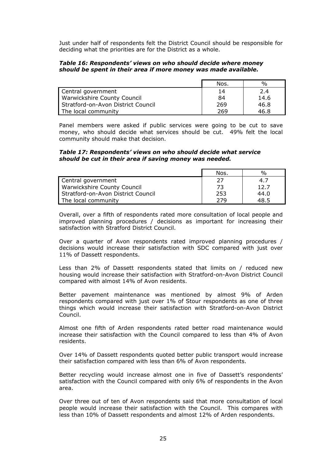Just under half of respondents felt the District Council should be responsible for deciding what the priorities are for the District as a whole.

#### *Table 16: Respondents' views on who should decide where money should be spent in their area if more money was made available.*

|                                    | Nos. | $\frac{0}{0}$ |
|------------------------------------|------|---------------|
| Central government                 | 14   | 2.4           |
| <b>Warwickshire County Council</b> | 84   | 14.6          |
| Stratford-on-Avon District Council | 269  | 46.8          |
| The local community                | 269  | 46.8          |

Panel members were asked if public services were going to be cut to save money, who should decide what services should be cut. 49% felt the local community should make that decision.

#### *Table 17: Respondents' views on who should decide what service should be cut in their area if saving money was needed.*

|                                    | Nos. | %    |
|------------------------------------|------|------|
| Central government                 |      | 4.7  |
| <b>Warwickshire County Council</b> | 73   | 12.7 |
| Stratford-on-Avon District Council | 253  | 44.0 |
| The local community                | 279  | 48.5 |

Overall, over a fifth of respondents rated more consultation of local people and improved planning procedures / decisions as important for increasing their satisfaction with Stratford District Council.

Over a quarter of Avon respondents rated improved planning procedures / decisions would increase their satisfaction with SDC compared with just over 11% of Dassett respondents.

Less than 2% of Dassett respondents stated that limits on / reduced new housing would increase their satisfaction with Stratford-on-Avon District Council compared with almost 14% of Avon residents.

Better pavement maintenance was mentioned by almost 9% of Arden respondents compared with just over 1% of Stour respondents as one of three things which would increase their satisfaction with Stratford-on-Avon District Council.

Almost one fifth of Arden respondents rated better road maintenance would increase their satisfaction with the Council compared to less than 4% of Avon residents.

Over 14% of Dassett respondents quoted better public transport would increase their satisfaction compared with less than 6% of Avon respondents.

Better recycling would increase almost one in five of Dassett's respondents' satisfaction with the Council compared with only 6% of respondents in the Avon area.

Over three out of ten of Avon respondents said that more consultation of local people would increase their satisfaction with the Council. This compares with less than 10% of Dassett respondents and almost 12% of Arden respondents.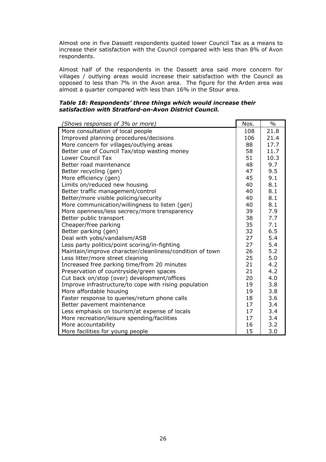Almost one in five Dassett respondents quoted lower Council Tax as a means to increase their satisfaction with the Council compared with less than 8% of Avon respondents.

Almost half of the respondents in the Dassett area said more concern for villages / outlying areas would increase their satisfaction with the Council as opposed to less than 7% in the Avon area. The figure for the Arden area was almost a quarter compared with less than 16% in the Stour area.

# *Table 18: Respondents' three things which would increase their satisfaction with Stratford-on-Avon District Council.*

| (Shows responses of 3% or more)                          | Nos. | $\frac{0}{0}$ |
|----------------------------------------------------------|------|---------------|
| More consultation of local people                        | 108  | 21.8          |
| Improved planning procedures/decisions                   | 106  | 21.4          |
| More concern for villages/outlying areas                 | 88   | 17.7          |
| Better use of Council Tax/stop wasting money             | 58   | 11.7          |
| Lower Council Tax                                        | 51   | 10.3          |
| Better road maintenance                                  | 48   | 9.7           |
| Better recycling (gen)                                   | 47   | 9.5           |
| More efficiency (gen)                                    | 45   | 9.1           |
| Limits on/reduced new housing                            | 40   | 8.1           |
| Better traffic management/control                        | 40   | 8.1           |
| Better/more visible policing/security                    | 40   | 8.1           |
| More communication/willingness to listen (gen)           | 40   | 8.1           |
| More openness/less secrecy/more transparency             | 39   | 7.9           |
| Better public transport                                  | 38   | 7.7           |
| Cheaper/free parking                                     | 35   | 7.1           |
| Better parking (gen)                                     | 32   | 6.5           |
| Deal with yobs/vandalism/ASB                             | 27   | 5.4           |
| Less party politics/point scoring/in-fighting            | 27   | 5.4           |
| Maintain/improve character/cleanliness/condition of town | 26   | 5.2           |
| Less litter/more street cleaning                         | 25   | 5.0           |
| Increased free parking time/from 20 minutes              | 21   | 4.2           |
| Preservation of countryside/green spaces                 | 21   | 4.2           |
| Cut back on/stop (over) development/offices              | 20   | 4.0           |
| Improve infrastructure/to cope with rising population    | 19   | 3.8           |
| More affordable housing                                  | 19   | 3.8           |
| Faster response to queries/return phone calls            | 18   | 3.6           |
| Better pavement maintenance                              | 17   | 3.4           |
| Less emphasis on tourism/at expense of locals            | 17   | 3.4           |
| More recreation/leisure spending/facilities              | 17   | 3.4           |
| More accountability                                      | 16   | 3.2           |
| More facilities for young people                         | 15   | 3.0           |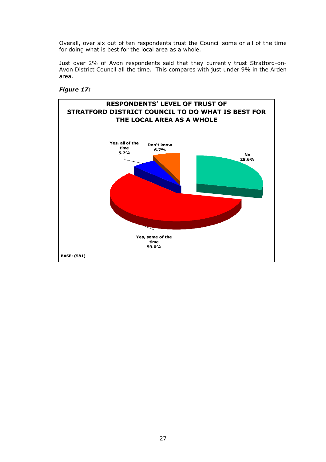Overall, over six out of ten respondents trust the Council some or all of the time for doing what is best for the local area as a whole.

Just over 2% of Avon respondents said that they currently trust Stratford-on-Avon District Council all the time. This compares with just under 9% in the Arden area.

## *Figure 17:*

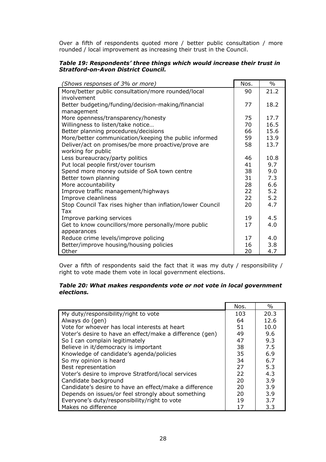Over a fifth of respondents quoted more / better public consultation / more rounded / local improvement as increasing their trust in the Council.

# *Table 19: Respondents' three things which would increase their trust in Stratford-on-Avon District Council.*

| (Shows responses of 3% or more)                                   | Nos.     | $\%$       |
|-------------------------------------------------------------------|----------|------------|
| More/better public consultation/more rounded/local<br>involvement | 90       | 21.2       |
| Better budgeting/funding/decision-making/financial                | 77       | 18.2       |
| management                                                        |          |            |
| More openness/transparency/honesty                                | 75       | 17.7       |
| Willingness to listen/take notice                                 | 70       | 16.5       |
| Better planning procedures/decisions                              | 66       | 15.6       |
| More/better communication/keeping the public informed             | 59       | 13.9       |
| Deliver/act on promises/be more proactive/prove are               | 58       | 13.7       |
| working for public                                                |          |            |
| Less bureaucracy/party politics                                   | 46       | 10.8       |
| Put local people first/over tourism                               | 41       | 9.7        |
| Spend more money outside of SoA town centre                       | 38<br>31 | 9.0<br>7.3 |
| Better town planning<br>More accountability                       | 28       | 6.6        |
| Improve traffic management/highways                               | 22       | 5.2        |
| Improve cleanliness                                               | 22       | 5.2        |
| Stop Council Tax rises higher than inflation/lower Council        | 20       | 4.7        |
| Tax                                                               |          |            |
| Improve parking services                                          | 19       | 4.5        |
| Get to know councillors/more personally/more public               | 17       | 4.0        |
| appearances                                                       |          |            |
| Reduce crime levels/improve policing                              | 17       | 4.0        |
| Better/improve housing/housing policies                           | 16       | 3.8        |
| Other                                                             | 20       | 4.7        |

Over a fifth of respondents said the fact that it was my duty / responsibility / right to vote made them vote in local government elections.

#### *Table 20: What makes respondents vote or not vote in local government elections.*

|                                                          | Nos. | $\%$ |
|----------------------------------------------------------|------|------|
| My duty/responsibility/right to vote                     | 103  | 20.3 |
| Always do (gen)                                          | 64   | 12.6 |
| Vote for whoever has local interests at heart            | 51   | 10.0 |
| Voter's desire to have an effect/make a difference (gen) | 49   | 9.6  |
| So I can complain legitimately                           | 47   | 9.3  |
| Believe in it/democracy is important                     | 38   | 7.5  |
| Knowledge of candidate's agenda/policies                 | 35   | 6.9  |
| So my opinion is heard                                   | 34   | 6.7  |
| Best representation                                      | 27   | 5.3  |
| Voter's desire to improve Stratford/local services       | 22   | 4.3  |
| Candidate background                                     | 20   | 3.9  |
| Candidate's desire to have an effect/make a difference   | 20   | 3.9  |
| Depends on issues/or feel strongly about something       | 20   | 3.9  |
| Everyone's duty/responsibility/right to vote             | 19   | 3.7  |
| Makes no difference                                      | 17   | 3.3  |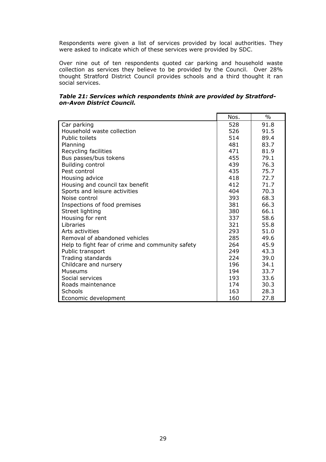Respondents were given a list of services provided by local authorities. They were asked to indicate which of these services were provided by SDC.

Over nine out of ten respondents quoted car parking and household waste collection as services they believe to be provided by the Council. Over 28% thought Stratford District Council provides schools and a third thought it ran social services.

|                                                  | Nos. | $\frac{0}{0}$ |
|--------------------------------------------------|------|---------------|
| Car parking                                      | 528  | 91.8          |
| Household waste collection                       | 526  | 91.5          |
| <b>Public toilets</b>                            | 514  | 89.4          |
| Planning                                         | 481  | 83.7          |
| Recycling facilities                             | 471  | 81.9          |
| Bus passes/bus tokens                            | 455  | 79.1          |
| <b>Building control</b>                          | 439  | 76.3          |
| Pest control                                     | 435  | 75.7          |
| Housing advice                                   | 418  | 72.7          |
| Housing and council tax benefit                  | 412  | 71.7          |
| Sports and leisure activities                    | 404  | 70.3          |
| Noise control                                    | 393  | 68.3          |
| Inspections of food premises                     | 381  | 66.3          |
| Street lighting                                  | 380  | 66.1          |
| Housing for rent                                 | 337  | 58.6          |
| Libraries                                        | 321  | 55.8          |
| Arts activities                                  | 293  | 51.0          |
| Removal of abandoned vehicles                    | 285  | 49.6          |
| Help to fight fear of crime and community safety | 264  | 45.9          |
| Public transport                                 | 249  | 43.3          |
| Trading standards                                | 224  | 39.0          |
| Childcare and nursery                            | 196  | 34.1          |
| <b>Museums</b>                                   | 194  | 33.7          |
| Social services                                  | 193  | 33.6          |
| Roads maintenance                                | 174  | 30.3          |
| <b>Schools</b>                                   | 163  | 28.3          |
| Economic development                             | 160  | 27.8          |

## *Table 21: Services which respondents think are provided by Stratfordon-Avon District Council.*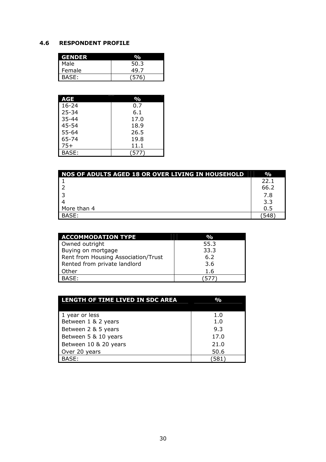# **4.6 RESPONDENT PROFILE**

| <b>GENDER</b> |       |
|---------------|-------|
| Male          | 50.3  |
| Female        | 49.7  |
| I<br>BASE:    | (576) |

| AGE       | %     |
|-----------|-------|
| $16 - 24$ | 0.7   |
| $25 - 34$ | 6.1   |
| $35 - 44$ | 17.0  |
| $45 - 54$ | 18.9  |
| $55 - 64$ | 26.5  |
| 65-74     | 19.8  |
| $75+$     | 11.1  |
| BASF:     | (577) |

| NOS OF ADULTS AGED 18 OR OVER LIVING IN HOUSEHOLD | $\%$ |
|---------------------------------------------------|------|
|                                                   | 22.1 |
|                                                   | 66.2 |
|                                                   | 7.8  |
|                                                   | 3.3  |
| More than 4                                       | 0.5  |
| BASE:                                             | .548 |

| <b>ACCOMMODATION TYPE</b>           | $\mathbf{O}_\mathbf{O}$ |
|-------------------------------------|-------------------------|
| Owned outright                      | 55.3                    |
| Buying on mortgage                  | 33.3                    |
| Rent from Housing Association/Trust | 6.2                     |
| Rented from private landlord        | 3.6                     |
| Other                               | 1.6                     |
| BASE:                               | 577                     |

| LENGTH OF TIME LIVED IN SDC AREA | $\mathbf{O}_\mathbf{O}$ |
|----------------------------------|-------------------------|
|                                  |                         |
| 1 year or less                   | 1.0                     |
| Between 1 & 2 years              | 1.0                     |
| Between 2 & 5 years              | 9.3                     |
| Between 5 & 10 years             | 17.0                    |
| Between 10 & 20 years            | 21.0                    |
| Over 20 years                    | 50.6                    |
| BASE:                            | 581                     |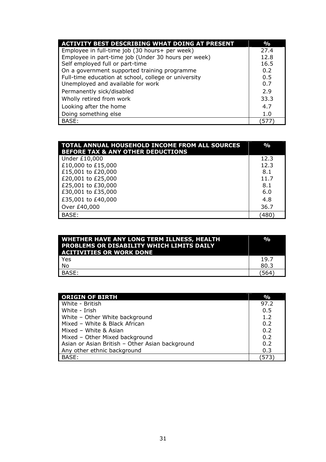| <b>ACTIVITY BEST DESCRIBING WHAT DOING AT PRESENT</b> | $\frac{0}{0}$ |
|-------------------------------------------------------|---------------|
| Employee in full-time job (30 hours+ per week)        | 27.4          |
| Employee in part-time job (Under 30 hours per week)   | 12.8          |
| Self employed full or part-time                       | 16.5          |
| On a government supported training programme          | 0.2           |
| Full-time education at school, college or university  | 0.5           |
| Unemployed and available for work                     | 0.7           |
| Permanently sick/disabled                             | 2.9           |
| Wholly retired from work                              | 33.3          |
| Looking after the home                                | 4.7           |
| Doing something else                                  | 1.0           |
| BASE:                                                 | 57.           |

| TOTAL ANNUAL HOUSEHOLD INCOME FROM ALL SOURCES<br><b>BEFORE TAX &amp; ANY OTHER DEDUCTIONS</b> | $\frac{0}{0}$ |
|------------------------------------------------------------------------------------------------|---------------|
| Under £10,000                                                                                  | 12.3          |
| £10,000 to £15,000                                                                             | 12.3          |
| £15,001 to £20,000                                                                             | 8.1           |
| £20,001 to £25,000                                                                             | 11.7          |
| £25,001 to £30,000                                                                             | 8.1           |
| £30,001 to £35,000                                                                             | 6.0           |
| £35,001 to £40,000                                                                             | 4.8           |
| Over £40,000                                                                                   | 36.7          |
| BASE:                                                                                          | 480)          |

| <b>WHETHER HAVE ANY LONG TERM ILLNESS, HEALTH</b><br><b>PROBLEMS OR DISABILITY WHICH LIMITS DAILY</b><br><b>ACITIVITIES OR WORK DONE</b> | $\frac{0}{0}$ |
|------------------------------------------------------------------------------------------------------------------------------------------|---------------|
| <b>Yes</b>                                                                                                                               | 19.7          |
| No                                                                                                                                       | 80.3          |
| BASE:                                                                                                                                    | 564           |

| <b>ORIGIN OF BIRTH</b>                          | $\frac{0}{0}$ |
|-------------------------------------------------|---------------|
| White - British                                 | 97.2          |
| White - Irish                                   | 0.5           |
| White - Other White background                  | 1.2           |
| Mixed - White & Black African                   | 0.2           |
| Mixed - White & Asian                           | 0.2           |
| Mixed - Other Mixed background                  | 0.2           |
| Asian or Asian British - Other Asian background | 0.2           |
| Any other ethnic background                     | 0.3           |
| BASE:                                           | 573'          |